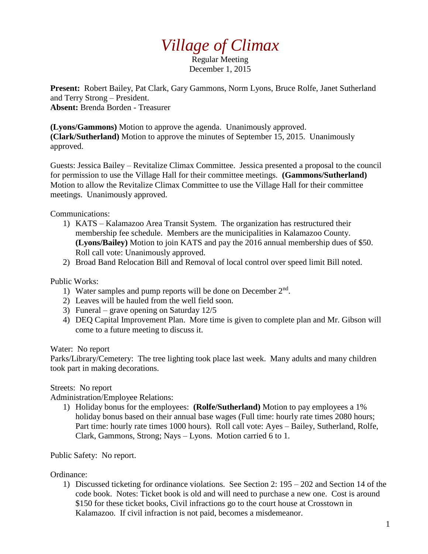## *Village of Climax*

Regular Meeting December 1, 2015

**Present:** Robert Bailey, Pat Clark, Gary Gammons, Norm Lyons, Bruce Rolfe, Janet Sutherland and Terry Strong – President. **Absent:** Brenda Borden - Treasurer

**(Lyons/Gammons)** Motion to approve the agenda. Unanimously approved. **(Clark/Sutherland)** Motion to approve the minutes of September 15, 2015. Unanimously approved.

Guests: Jessica Bailey – Revitalize Climax Committee. Jessica presented a proposal to the council for permission to use the Village Hall for their committee meetings. **(Gammons/Sutherland)** Motion to allow the Revitalize Climax Committee to use the Village Hall for their committee meetings. Unanimously approved.

Communications:

- 1) KATS Kalamazoo Area Transit System. The organization has restructured their membership fee schedule. Members are the municipalities in Kalamazoo County. **(Lyons/Bailey)** Motion to join KATS and pay the 2016 annual membership dues of \$50. Roll call vote: Unanimously approved.
- 2) Broad Band Relocation Bill and Removal of local control over speed limit Bill noted.

## Public Works:

- 1) Water samples and pump reports will be done on December 2<sup>nd</sup>.
- 2) Leaves will be hauled from the well field soon.
- 3) Funeral grave opening on Saturday 12/5
- 4) DEQ Capital Improvement Plan. More time is given to complete plan and Mr. Gibson will come to a future meeting to discuss it.

Water: No report

Parks/Library/Cemetery: The tree lighting took place last week. Many adults and many children took part in making decorations.

Streets: No report

Administration/Employee Relations:

1) Holiday bonus for the employees: **(Rolfe/Sutherland)** Motion to pay employees a 1% holiday bonus based on their annual base wages (Full time: hourly rate times 2080 hours; Part time: hourly rate times 1000 hours). Roll call vote: Ayes – Bailey, Sutherland, Rolfe, Clark, Gammons, Strong; Nays – Lyons. Motion carried 6 to 1.

Public Safety: No report.

Ordinance:

1) Discussed ticketing for ordinance violations. See Section 2: 195 – 202 and Section 14 of the code book. Notes: Ticket book is old and will need to purchase a new one. Cost is around \$150 for these ticket books, Civil infractions go to the court house at Crosstown in Kalamazoo. If civil infraction is not paid, becomes a misdemeanor.

1